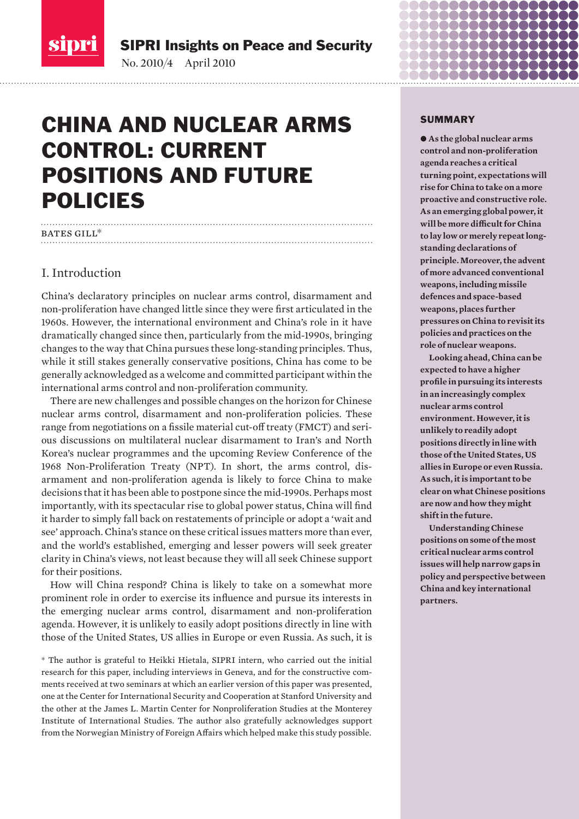<span id="page-0-0"></span>

SIPRI Insights on Peace and Security

No. 2010/4 April 2010

# CHINA AND NUCLEAR ARMS CONTROL: CURRENT POSITIONS AND FUTURE POLICIES

### BATES GILL\*

### I. Introduction

China's declaratory principles on nuclear arms control, disarmament and non-proliferation have changed little since they were first articulated in the 1960s. However, the international environment and China's role in it have dramatically changed since then, particularly from the mid-1990s, bringing changes to the way that China pursues these long-standing principles. Thus, while it still stakes generally conservative positions, China has come to be generally acknowledged as a welcome and committed participant within the international arms control and non-proliferation community.

There are new challenges and possible changes on the horizon for Chinese nuclear arms control, disarmament and non-proliferation policies. These range from negotiations on a fissile material cut-off treaty (FMCT) and serious discussions on multilateral nuclear disarmament to Iran's and North Korea's nuclear programmes and the upcoming Review Conference of the 1968 Non-Proliferation Treaty (NPT). In short, the arms control, disarmament and non-proliferation agenda is likely to force China to make decisions that it has been able to postpone since the mid-1990s. Perhaps most importantly, with its spectacular rise to global power status, China will find it harder to simply fall back on restatements of principle or adopt a 'wait and see' approach. China's stance on these critical issues matters more than ever, and the world's established, emerging and lesser powers will seek greater clarity in China's views, not least because they will all seek Chinese support for their positions.

How will China respond? China is likely to take on a somewhat more prominent role in order to exercise its influence and pursue its interests in the emerging nuclear arms control, disarmament and non-proliferation agenda. However, it is unlikely to easily adopt positions directly in line with those of the United States, US allies in Europe or even Russia. As such, it is

\* The author is grateful to Heikki Hietala, SIPRI intern, who carried out the initial research for this paper, including interviews in Geneva, and for the constructive comments received at two seminars at which an earlier version of this paper was presented, one at the Center for International Security and Cooperation at Stanford University and the other at the James L. Martin Center for Nonproliferation Studies at the Monterey Institute of International Studies. The author also gratefully acknowledges support from the Norwegian Ministry of Foreign Affairs which helped make this study possible.

#### SUMMARY

 $\bullet$  As the global nuclear arms **control and non-proliferation agenda reaches a critical turning point, expectations will rise for China to take on a more proactive and constructive role. As an emerging global power, it will be more difficult for China to lay low or merely repeat longstanding declarations of principle. Moreover, the advent of more advanced conventional weapons, including missile defences and space-based weapons, places further pressures on China to revisit its policies and practices on the role of nuclear weapons.**

**Looking ahead, China can be expected to have a higher profile in pursuing its interests in an increasingly complex nuclear arms control environment. However, it is unlikely to readily adopt positions directly in line with those of the United States, US allies in Europe or even Russia. As such, it is important to be clear on what Chinese positions are now and how they might shift in the future.** 

**Understanding Chinese positions on some of the most critical nuclear arms control issues will help narrow gaps in policy and perspective between China and key international partners.**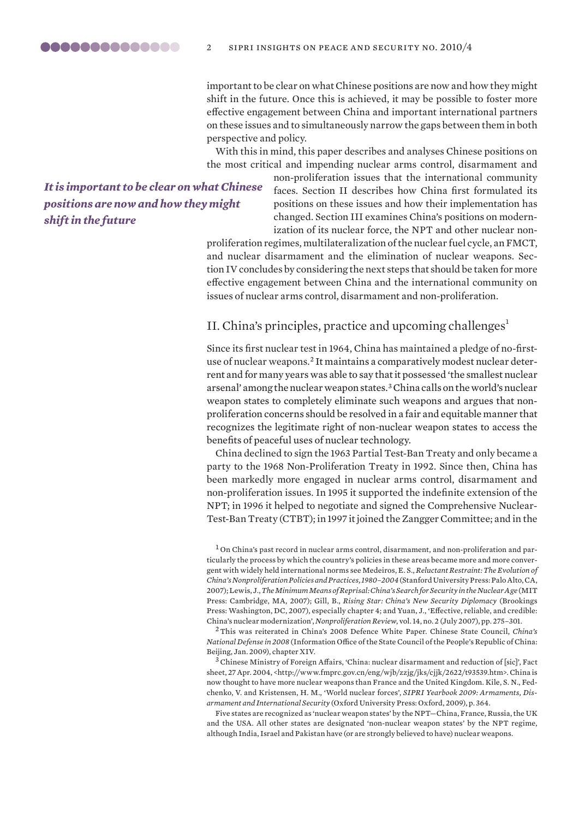important to be clear on what Chinese positions are now and how they might shift in the future. Once this is achieved, it may be possible to foster more effective engagement between China and important international partners on these issues and to simultaneously narrow the gaps between them in both perspective and policy.

With this in mind, this paper describes and analyses Chinese positions on the most critical and impending nuclear arms control, disarmament and

<span id="page-1-0"></span>*It is important to be clear on what Chinese positions are now and how they might shift in the future*

non-proliferation issues that the international community faces. Section II describes how China first formulated its positions on these issues and how their implementation has changed. Section III examines China's positions on modernization of its nuclear force, the NPT and other nuclear non-

proliferation regimes, multilateralization of the nuclear fuel cycle, an FMCT, and nuclear disarmament and the elimination of nuclear weapons. Section IV concludes by considering the next steps that should be taken for more effective engagement between China and the international community on issues of nuclear arms control, disarmament and non-proliferation.

### II. China's principles, practice and upcoming challenges $<sup>1</sup>$ </sup>

Since its first nuclear test in 1964, China has maintained a pledge of no-firstuse of nuclear weapons.2 It maintains a comparatively modest nuclear deterrent and for many years was able to say that it possessed 'the smallest nuclear arsenal' among the nuclear weapon states.<sup>3</sup> China calls on the world's nuclear weapon states to completely eliminate such weapons and argues that nonproliferation concerns should be resolved in a fair and equitable manner that recognizes the legitimate right of non-nuclear weapon states to access the benefits of peaceful uses of nuclear technology.

China declined to sign the 1963 Partial Test-Ban Treaty and only became a party to the 1968 Non-Proliferation Treaty in 1992. Since then, China has been markedly more engaged in nuclear arms control, disarmament and non-proliferation issues. In 1995 it supported the indefinite extension of the NPT; in 1996 it helped to negotiate and signed the Comprehensive Nuclear-Test-Ban Treaty (CTBT); in 1997 it joined the Zangger Committee; and in the

<sup>2</sup>This was reiterated in China's 2008 Defence White Paper. Chinese State Council, *China's National Defense in 2008* (Information Office of the State Council of the People's Republic of China: Beijing, Jan. 2009), chapter XIV.

<sup>3</sup>Chinese Ministry of Foreign Affairs, 'China: nuclear disarmament and reduction of [sic]', Fact sheet, 27 Apr. 2004, <http://www.fmprc.gov.cn/eng/wjb/zzjg/jks/cjjk/2622/t93539.htm>. China is now thought to have more nuclear weapons than France and the United Kingdom. Kile, S. N., Fedchenko, V. and Kristensen, H. M., 'World nuclear forces', *SIPRI Yearbook 2009: Armaments, Disarmament and International Security* (Oxford University Press: Oxford, 2009), p. 364.

Five states are recognized as 'nuclear weapon states' by the NPT—China, France, Russia, the UK and the USA. All other states are designated 'non-nuclear weapon states' by the NPT regime, although India, Israel and Pakistan have (or are strongly believed to have) nuclear weapons.

<sup>1</sup> On China's past record in nuclear arms control, disarmament, and non-proliferation and particularly the process by which the country's policies in these areas became more and more convergent with widely held international norms see Medeiros, E. S., *Reluctant Restraint: The Evolution of China's Nonproliferation Policies and Practices, 1980–2004* (Stanford University Press: Palo Alto, CA, 2007); Lewis, J., *The Minimum Means of Reprisal: China's Search for Security in the Nuclear Age* (MIT Press: Cambridge, MA, 2007); Gill, B., *Rising Star: China's New Security Diplomacy* (Brookings Press: Washington, DC, 2007), especially chapter 4; and Yuan, J., 'Effective, reliable, and credible: China's nuclear modernization', *Nonproliferation Review*, vol. 14, no. 2 (July 2007), pp. 275–301.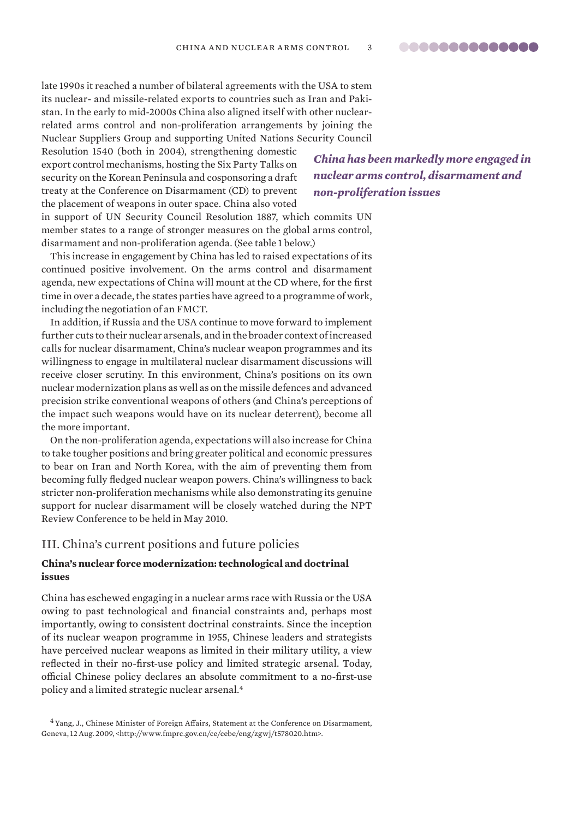<span id="page-2-0"></span>late 1990s it reached a number of bilateral agreements with the USA to stem its nuclear- and missile-related exports to countries such as Iran and Pakistan. In the early to mid-2000s China also aligned itself with other nuclearrelated arms control and non-proliferation arrangements by joining the Nuclear Suppliers Group and supporting United Nations Security Council

Resolution 1540 (both in 2004), strengthening domestic export control mechanisms, hosting the Six Party Talks on security on the Korean Peninsula and cosponsoring a draft treaty at the Conference on Disarmament (CD) to prevent the placement of weapons in outer space. China also voted

*China has been markedly more engaged in nuclear arms control, disarmament and non-proliferation issues*

in support of UN Security Council Resolution 1887, which commits UN member states to a range of stronger measures on the global arms control, disarmament and non-proliferation agenda. (See table 1 below.)

This increase in engagement by China has led to raised expectations of its continued positive involvement. On the arms control and disarmament agenda, new expectations of China will mount at the CD where, for the first time in over a decade, the states parties have agreed to a programme of work, including the negotiation of an FMCT.

In addition, if Russia and the USA continue to move forward to implement further cuts to their nuclear arsenals, and in the broader context of increased calls for nuclear disarmament, China's nuclear weapon programmes and its willingness to engage in multilateral nuclear disarmament discussions will receive closer scrutiny. In this environment, China's positions on its own nuclear modernization plans as well as on the missile defences and advanced precision strike conventional weapons of others (and China's perceptions of the impact such weapons would have on its nuclear deterrent), become all the more important.

On the non-proliferation agenda, expectations will also increase for China to take tougher positions and bring greater political and economic pressures to bear on Iran and North Korea, with the aim of preventing them from becoming fully fledged nuclear weapon powers. China's willingness to back stricter non-proliferation mechanisms while also demonstrating its genuine support for nuclear disarmament will be closely watched during the NPT Review Conference to be held in May 2010.

### III. China's current positions and future policies

### **China's nuclear force modernization: technological and doctrinal issues**

China has eschewed engaging in a nuclear arms race with Russia or the USA owing to past technological and financial constraints and, perhaps most importantly, owing to consistent doctrinal constraints. Since the inception of its nuclear weapon programme in 1955, Chinese leaders and strategists have perceived nuclear weapons as limited in their military utility, a view reflected in their no-first-use policy and limited strategic arsenal. Today, official Chinese policy declares an absolute commitment to a no-first-use policy and a limited strategic nuclear arsenal.<sup>4</sup>

<sup>4</sup> Yang, J., Chinese Minister of Foreign Affairs, Statement at the Conference on Disarmament, Geneva, 12 Aug. 2009, <http://www.fmprc.gov.cn/ce/cebe/eng/zgwj/t578020.htm>.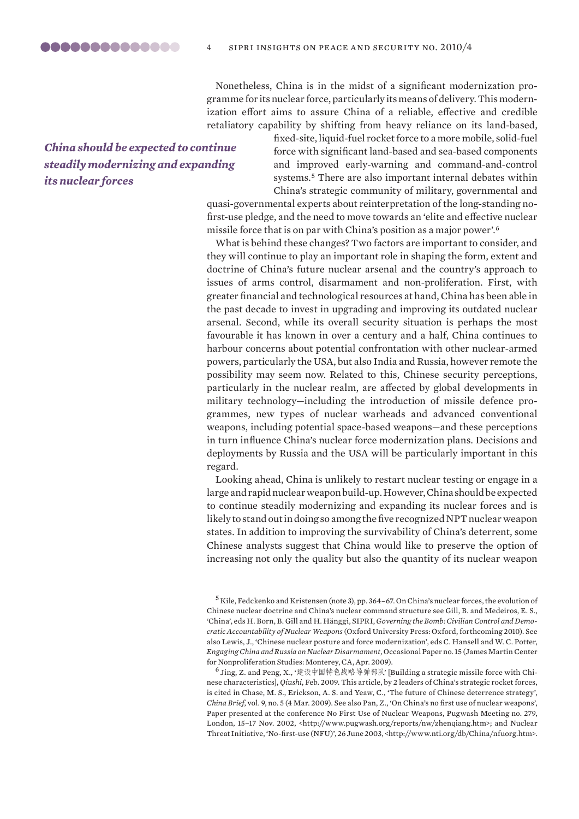Nonetheless, China is in the midst of a significant modernization programme for its nuclear force, particularly its means of delivery.This modernization effort aims to assure China of a reliable, effective and credible retaliatory capability by shifting from heavy reliance on its land-based,

# *China should be expected to continue steadily modernizing and expanding its nuclear forces*

fixed-site, liquid-fuel rocket force to a more mobile, solid-fuel force with significant land-based and sea-based components and improved early-warning and command-and-control systems.<sup>5</sup> There are also important internal debates within China's strategic community of military, governmental and

quasi-governmental experts about reinterpretation of the long-standing nofirst-use pledge, and the need to move towards an 'elite and effective nuclear missile force that is on par with China's position as a major power'.<sup>6</sup>

What is behind these changes? Two factors are important to consider, and they will continue to play an important role in shaping the form, extent and doctrine of China's future nuclear arsenal and the country's approach to issues of arms control, disarmament and non-proliferation. First, with greater financial and technological resources at hand,China has been able in the past decade to invest in upgrading and improving its outdated nuclear arsenal. Second, while its overall security situation is perhaps the most favourable it has known in over a century and a half, China continues to harbour concerns about potential confrontation with other nuclear-armed powers, particularly the USA, but also India and Russia, however remote the possibility may seem now. Related to this, Chinese security perceptions, particularly in the nuclear realm, are affected by global developments in military technology—including the introduction of missile defence programmes, new types of nuclear warheads and advanced conventional weapons, including potential space-based weapons—and these perceptions in turn influence China's nuclear force modernization plans. Decisions and deployments by Russia and the USA will be particularly important in this regard.

Looking ahead, China is unlikely to restart nuclear testing or engage in a large and rapid nuclear weapon build-up. However, China should be expected to continue steadily modernizing and expanding its nuclear forces and is likely to stand out in doing so among the five recognized NPT nuclear weapon states. In addition to improving the survivability of China's deterrent, some Chinese analysts suggest that China would like to preserve the option of increasing not only the quality but also the quantity of its nuclear weapon

<sup>6</sup> Jing, Z. and Peng, X., '建设中国特色战略导弹部队' [Building a strategic missile force with Chinese characteristics], *Qiushi*, Feb. 2009. This article, by 2 leaders of China's strategic rocket forces, is cited in Chase, M. S., Erickson, A. S. and Yeaw, C., 'The future of Chinese deterrence strategy', *China Brief*, vol. 9, no. 5 (4 Mar. 2009). See also Pan, Z., 'On China's no first use of nuclear weapons', Paper presented at the conference No First Use of Nuclear Weapons, Pugwash Meeting no. 279, London, 15–17 Nov. 2002, <http://www.pugwash.org/reports/nw/zhenqiang.htm>; and Nuclear Threat Initiative, 'No-first-use (NFU)', 26 June 2003, <http://www.nti.org/db/China/nfuorg.htm>.

 $^5$  Kile, Fedckenko and Kristensen (note 3), pp. 364–67. On China's nuclear forces, the evolution of Chinese nuclear doctrine and China's nuclear command structure see Gill, B. and Medeiros, E. S., 'China', eds H. Born, B. Gill and H. Hänggi, SIPRI, *Governing the Bomb: Civilian Control and Democratic Accountability of Nuclear Weapons* (Oxford University Press: Oxford, forthcoming 2010). See also Lewis, J., 'Chinese nuclear posture and force modernization', eds C. Hansell and W. C. Potter, *Engaging China and Russia on Nuclear Disarmament*, Occasional Paper no.15 (JamesMartinCenter for Nonproliferation Studies: Monterey,CA,Apr. 2009).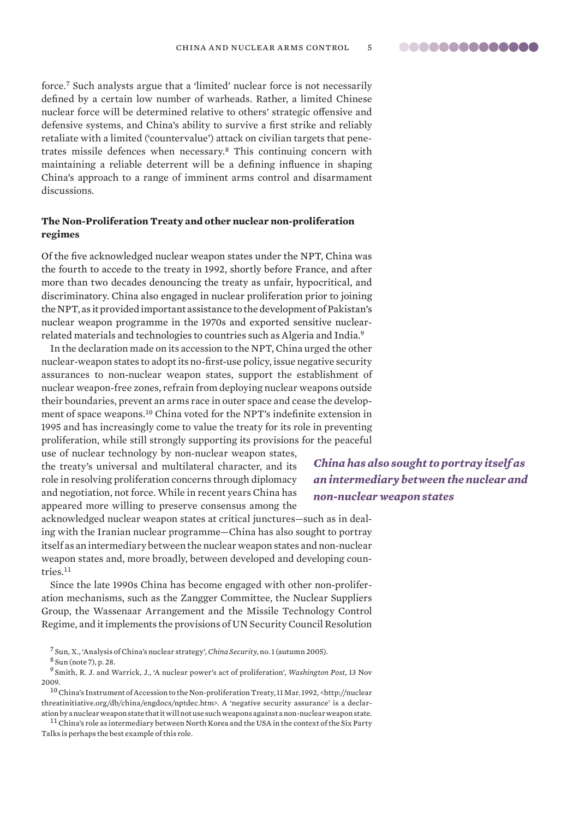<span id="page-4-0"></span>force.<sup>7</sup> Such analysts argue that a 'limited' nuclear force is not necessarily defined by a certain low number of warheads. Rather, a limited Chinese nuclear force will be determined relative to others' strategic offensive and defensive systems, and China's ability to survive a first strike and reliably retaliate with a limited ('countervalue') attack on civilian targets that penetrates missile defences when necessary.<sup>8</sup> This continuing concern with maintaining a reliable deterrent will be a defining influence in shaping China's approach to a range of imminent arms control and disarmament discussions.

### **The Non-Proliferation Treaty and other nuclear non-proliferation regimes**

Of the five acknowledged nuclear weapon states under the NPT, China was the fourth to accede to the treaty in 1992, shortly before France, and after more than two decades denouncing the treaty as unfair, hypocritical, and discriminatory. China also engaged in nuclear proliferation prior to joining the NPT, as it provided important assistance to the development of Pakistan's nuclear weapon programme in the 1970s and exported sensitive nuclearrelated materials and technologies to countries such as Algeria and India.<sup>9</sup>

In the declaration made on its accession to the NPT, China urged the other nuclear-weapon states to adopt its no-first-use policy, issue negative security assurances to non-nuclear weapon states, support the establishment of nuclear weapon-free zones, refrain from deploying nuclear weapons outside their boundaries, prevent an arms race in outer space and cease the development of space weapons.<sup>10</sup> China voted for the NPT's indefinite extension in 1995 and has increasingly come to value the treaty for its role in preventing proliferation, while still strongly supporting its provisions for the peaceful

use of nuclear technology by non-nuclear weapon states, the treaty's universal and multilateral character, and its role in resolving proliferation concerns through diplomacy and negotiation, not force. While in recent years China has appeared more willing to preserve consensus among the

*China has also sought to portray itself as an intermediary between the nuclear and non-nuclear weapon states*

acknowledged nuclear weapon states at critical junctures—such as in dealing with the Iranian nuclear programme—China has also sought to portray itself as an intermediary between the nuclear weapon states and non-nuclear weapon states and, more broadly, between developed and developing countries.<sup>11</sup>

Since the late 1990s China has become engaged with other non-proliferation mechanisms, such as the Zangger Committee, the Nuclear Suppliers Group, the Wassenaar Arrangement and the Missile Technology Control Regime, and it implements the provisions of UN Security Council Resolution

<sup>11</sup> China's role as intermediary between North Korea and the USA in the context of the Six Party Talks is perhaps the best example of this role.

<sup>7</sup> Sun, X., 'Analysis of China's nuclear strategy', *China Security*, no. 1 (autumn 2005).

<sup>8</sup> Sun (note 7), p. 28.

<sup>9</sup> Smith, R. J. and Warrick, J., 'A nuclear power's act of proliferation', *Washington Post,* 13 Nov 2009.

<sup>10</sup>China's Instrument of Accession to the Non-proliferation Treaty, 11 Mar. 1992, <http://nuclear threatinitiative.org/db/china/engdocs/nptdec.htm>. A 'negative security assurance' is a declaration by a nuclear weapon state that it will not use such weapons against a non-nuclear weapon state.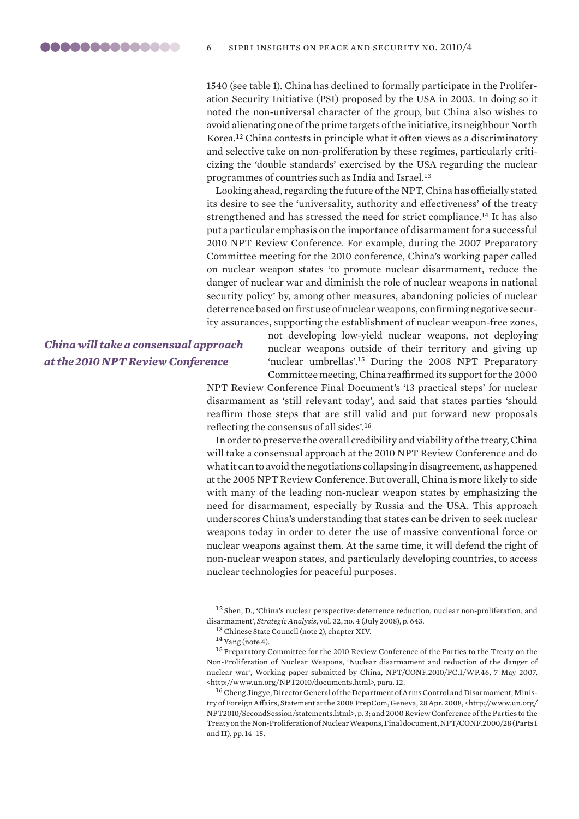1540 (see table 1). China has declined to formally participate in the Proliferation Security Initiative (PSI) proposed by the USA in 2003. In doing so it noted the non-universal character of the group, but China also wishes to avoid alienating one of the prime targets of the initiative, its neighbour North Korea.<sup>12</sup> China contests in principle what it often views as a discriminatory and selective take on non-proliferation by these regimes, particularly criticizing the 'double standards' exercised by the USA regarding the nuclear programmes of countries such as India and Israel.<sup>13</sup>

Looking ahead, regarding the future of the NPT, China has officially stated its desire to see the 'universality, authority and effectiveness' of the treaty strengthened and has stressed the need for strict compliance.<sup>14</sup> It has also put a particular emphasis on the importance of disarmament for a successful 2010 NPT Review Conference. For example, during the 2007 Preparatory Committee meeting for the 2010 conference, China's working paper called on nuclear weapon states 'to promote nuclear disarmament, reduce the danger of nuclear war and diminish the role of nuclear weapons in national security policy' by, among other measures, abandoning policies of nuclear deterrence based on first use of nuclear weapons, confirming negative security assurances, supporting the establishment of nuclear weapon-free zones,

*China will take a consensual approach at the 2010 NPT Review Conference*

not developing low-yield nuclear weapons, not deploying nuclear weapons outside of their territory and giving up 'nuclear umbrellas'.<sup>15</sup> During the 2008 NPT Preparatory Committee meeting, China reaffirmed its support for the 2000

NPT Review Conference Final Document's '13 practical steps' for nuclear disarmament as 'still relevant today', and said that states parties 'should reaffirm those steps that are still valid and put forward new proposals reflecting the consensus of all sides'.<sup>16</sup>

In order to preserve the overall credibility and viability of the treaty, China will take a consensual approach at the 2010 NPT Review Conference and do what it can to avoid the negotiations collapsing in disagreement, as happened at the 2005 NPT Review Conference. But overall, China is more likely to side with many of the leading non-nuclear weapon states by emphasizing the need for disarmament, especially by Russia and the USA. This approach underscores China's understanding that states can be driven to seek nuclear weapons today in order to deter the use of massive conventional force or nuclear weapons against them. At the same time, it will defend the right of non-nuclear weapon states, and particularly developing countries, to access nuclear technologies for peaceful purposes.

<sup>12</sup> Shen, D., 'China's nuclear perspective: deterrence reduction, nuclear non-proliferation, and disarmament', *Strategic Analysis*, vol. 32, no. 4 (July 2008), p. 643.

<sup>15</sup> Preparatory Committee for the 2010 Review Conference of the Parties to the Treaty on the Non-Proliferation of Nuclear Weapons, 'Nuclear disarmament and reduction of the danger of nuclear war', Working paper submitted by China, NPT/CONF.2010/PC.I/WP.46, 7 May 2007, <http://www.un.org/NPT2010/documents.html>, para. 12.

<sup>16</sup>Cheng Jingye, Director General of the Department of Arms Control and Disarmament, Ministry of Foreign Affairs, Statement at the 2008 PrepCom, Geneva, 28 Apr. 2008, <http://www.un.org/ NPT2010/SecondSession/statements.html>, p. 3; and 2000 Review Conference of the Parties to the Treaty on the Non-Proliferation of Nuclear Weapons, Final document, NPT/CONF.2000/28 (Parts I and II), pp. 14–15.

<sup>13</sup>Chinese State Council (note 2), chapter XIV.

 $14$  Yang (note 4).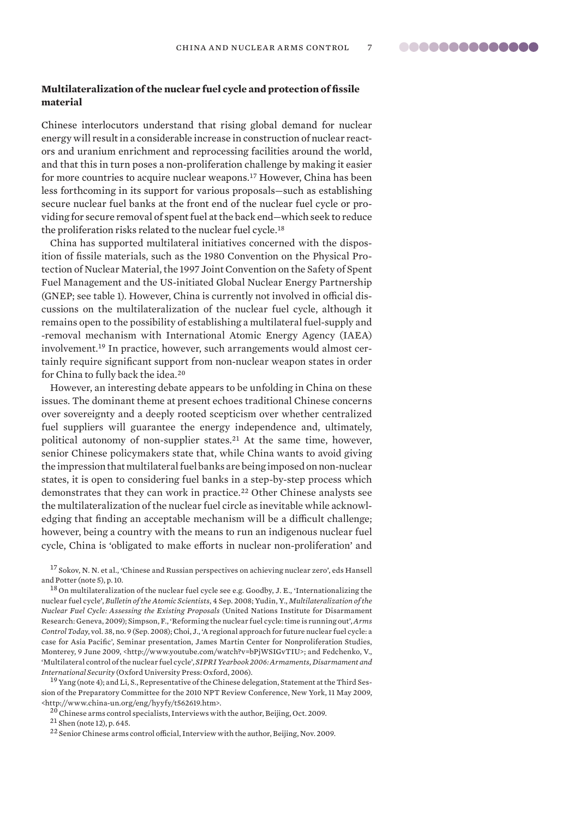### <span id="page-6-0"></span>**Multilateralization of the nuclear fuel cycle and protection of fissile material**

Chinese interlocutors understand that rising global demand for nuclear energy will result in a considerable increase in construction of nuclear reactors and uranium enrichment and reprocessing facilities around the world, and that this in turn poses a non-proliferation challenge by making it easier for more countries to acquire nuclear weapons.<sup>17</sup> However, China has been less forthcoming in its support for various proposals—such as establishing secure nuclear fuel banks at the front end of the nuclear fuel cycle or providing for secure removal of spent fuel at the back end—which seek to reduce the proliferation risks related to the nuclear fuel cycle.<sup>18</sup>

China has supported multilateral initiatives concerned with the disposition of fissile materials, such as the 1980 Convention on the Physical Protection of Nuclear Material, the 1997 Joint Convention on the Safety of Spent Fuel Management and the US-initiated Global Nuclear Energy Partnership (GNEP; see table 1). However, China is currently not involved in official discussions on the multilateralization of the nuclear fuel cycle, although it remains open to the possibility of establishing a multilateral fuel-supply and -removal mechanism with International Atomic Energy Agency (IAEA) involvement.19 In practice, however, such arrangements would almost certainly require significant support from non-nuclear weapon states in order for China to fully back the idea.<sup>20</sup>

However, an interesting debate appears to be unfolding in China on these issues. The dominant theme at present echoes traditional Chinese concerns over sovereignty and a deeply rooted scepticism over whether centralized fuel suppliers will guarantee the energy independence and, ultimately, political autonomy of non-supplier states.<sup>21</sup> At the same time, however, senior Chinese policymakers state that, while China wants to avoid giving the impression that multilateral fuel banks are being imposed on non-nuclear states, it is open to considering fuel banks in a step-by-step process which demonstrates that they can work in practice.<sup>22</sup> Other Chinese analysts see the multilateralization of the nuclear fuel circle as inevitable while acknowledging that finding an acceptable mechanism will be a difficult challenge; however, being a country with the means to run an indigenous nuclear fuel cycle, China is 'obligated to make efforts in nuclear non-proliferation' and

<sup>17</sup> Sokov, N. N. et al., 'Chinese and Russian perspectives on achieving nuclear zero', eds Hansell and Potter (note 5), p. 10.

<sup>18</sup> On multilateralization of the nuclear fuel cycle see e.g. Goodby, J. E., 'Internationalizing the nuclear fuel cycle', *Bulletin of the Atomic Scientists*, 4 Sep. 2008; Yudin, Y., *Multilateralization of the Nuclear Fuel Cycle: Assessing the Existing Proposals* (United Nations Institute for Disarmament Research: Geneva, 2009); Simpson, F., 'Reforming the nuclear fuel cycle: time is running out', *Arms Control Today*, vol. 38, no. 9 (Sep. 2008); Choi, J., 'A regional approach for future nuclear fuel cycle: a case for Asia Pacific', Seminar presentation, James Martin Center for Nonproliferation Studies, Monterey, 9 June 2009, <http://www.youtube.com/watch?v=bPjWSIGvTIU>; and Fedchenko, V., 'Multilateral control of the nuclear fuel cycle', *SIPRI Yearbook 2006: Armaments, Disarmament and International Security* (Oxford University Press: Oxford, 2006).

<sup>19</sup> Yang (note 4); and Li, S., Representative of the Chinese delegation, Statement at the Third Session of the Preparatory Committee for the 2010 NPT Review Conference, New York, 11 May 2009, <http://www.china-un.org/eng/hyyfy/t562619.htm>.

<sup>20</sup>Chinese arms control specialists, Interviews with the author, Beijing, Oct. 2009.

<sup>21</sup> Shen (note 12), p. 645.

<sup>22</sup> Senior Chinese arms control official, Interview with the author, Beijing, Nov. 2009.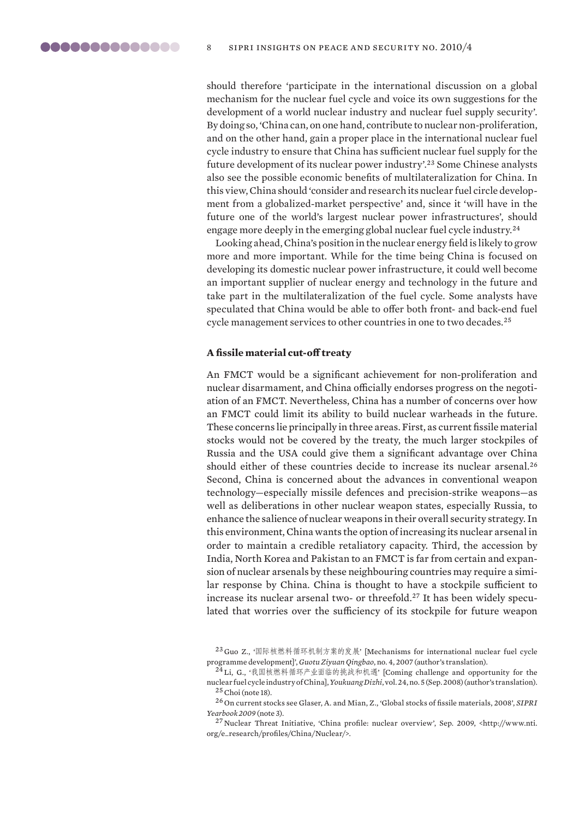<span id="page-7-0"></span>should therefore 'participate in the international discussion on a global mechanism for the nuclear fuel cycle and voice its own suggestions for the development of a world nuclear industry and nuclear fuel supply security'. By doing so, 'China can, on one hand, contribute to nuclear non-proliferation, and on the other hand, gain a proper place in the international nuclear fuel cycle industry to ensure that China has sufficient nuclear fuel supply for the future development of its nuclear power industry'.<sup>23</sup> Some Chinese analysts also see the possible economic benefits of multilateralization for China. In this view, China should 'consider and research its nuclear fuel circle development from a globalized-market perspective' and, since it 'will have in the future one of the world's largest nuclear power infrastructures', should engage more deeply in the emerging global nuclear fuel cycle industry.<sup>24</sup>

Looking ahead, China's position in the nuclear energy field is likely to grow more and more important. While for the time being China is focused on developing its domestic nuclear power infrastructure, it could well become an important supplier of nuclear energy and technology in the future and take part in the multilateralization of the fuel cycle. Some analysts have speculated that China would be able to offer both front- and back-end fuel cycle management services to other countries in one to two decades.<sup>25</sup>

#### **A fissile material cut-off treaty**

An FMCT would be a significant achievement for non-proliferation and nuclear disarmament, and China officially endorses progress on the negotiation of an FMCT. Nevertheless, China has a number of concerns over how an FMCT could limit its ability to build nuclear warheads in the future. These concerns lie principally in three areas. First, as current fissile material stocks would not be covered by the treaty, the much larger stockpiles of Russia and the USA could give them a significant advantage over China should either of these countries decide to increase its nuclear arsenal.<sup>26</sup> Second, China is concerned about the advances in conventional weapon technology—especially missile defences and precision-strike weapons—as well as deliberations in other nuclear weapon states, especially Russia, to enhance the salience of nuclear weapons in their overall security strategy. In this environment, China wants the option of increasing its nuclear arsenal in order to maintain a credible retaliatory capacity. Third, the accession by India, North Korea and Pakistan to an FMCT is far from certain and expansion of nuclear arsenals by these neighbouring countries may require a similar response by China. China is thought to have a stockpile sufficient to increase its nuclear arsenal two- or threefold.<sup>27</sup> It has been widely speculated that worries over the sufficiency of its stockpile for future weapon

<sup>23</sup> Guo Z., '国际核燃料循环机制方案的发展' [Mechanisms for international nuclear fuel cycle programme development]', *Guotu Ziyuan Qingbao*, no. 4, 2007 (author's translation).

<sup>24</sup> Li, G., '我国核燃料循环产业面临的挑战和机遇' [Coming challenge and opportunity for the nuclear fuel cycle industry of China], *Youkuang Dizhi*, vol. 24, no. 5 (Sep. 2008) (author's translation).  $25$  Choi (note 18).

<sup>26</sup> On current stocks see Glaser, A. and Mian, Z., 'Global stocks of fissile materials, 2008', *SIPRI Yearbook 2009* (note 3).

<sup>27</sup> Nuclear Threat Initiative, 'China profile: nuclear overview', Sep. 2009, <http://www.nti. org/e\_research/profiles/China/Nuclear/>.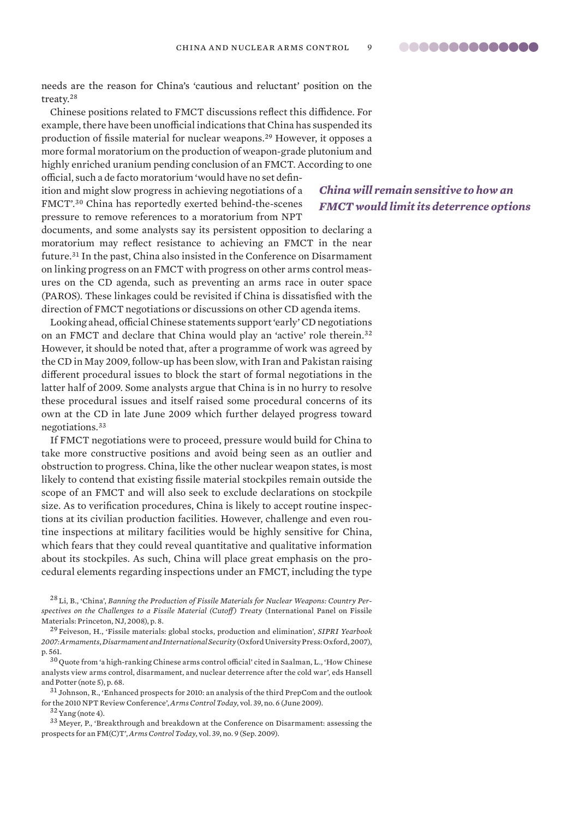..............

needs are the reason for China's 'cautious and reluctant' position on the treaty.<sup>28</sup>

Chinese positions related to FMCT discussions reflect this diffidence. For example, there have been unofficial indications that China has suspended its production of fissile material for nuclear weapons.<sup>29</sup> However, it opposes a more formal moratorium on the production of weapon-grade plutonium and highly enriched uranium pending conclusion of an FMCT. According to one official, such a de facto moratorium 'would have no set defin-

ition and might slow progress in achieving negotiations of a FMCT'.<sup>30</sup> China has reportedly exerted behind-the-scenes pressure to remove references to a moratorium from NPT

documents, and some analysts say its persistent opposition to declaring a moratorium may reflect resistance to achieving an FMCT in the near future.<sup>31</sup> In the past, China also insisted in the Conference on Disarmament on linking progress on an FMCT with progress on other arms control measures on the CD agenda, such as preventing an arms race in outer space (PAROS). These linkages could be revisited if China is dissatisfied with the direction of FMCT negotiations or discussions on other CD agenda items.

Looking ahead, official Chinese statements support 'early' CD negotiations on an FMCT and declare that China would play an 'active' role therein.<sup>32</sup> However, it should be noted that, after a programme of work was agreed by the CD in May 2009, follow-up has been slow, with Iran and Pakistan raising different procedural issues to block the start of formal negotiations in the latter half of 2009. Some analysts argue that China is in no hurry to resolve these procedural issues and itself raised some procedural concerns of its own at the CD in late June 2009 which further delayed progress toward negotiations.<sup>33</sup>

If FMCT negotiations were to proceed, pressure would build for China to take more constructive positions and avoid being seen as an outlier and obstruction to progress. China, like the other nuclear weapon states, is most likely to contend that existing fissile material stockpiles remain outside the scope of an FMCT and will also seek to exclude declarations on stockpile size. As to verification procedures, China is likely to accept routine inspections at its civilian production facilities. However, challenge and even routine inspections at military facilities would be highly sensitive for China, which fears that they could reveal quantitative and qualitative information about its stockpiles. As such, China will place great emphasis on the procedural elements regarding inspections under an FMCT, including the type

<sup>28</sup> Li, B., 'China', *Banning the Production of Fissile Materials for Nuclear Weapons: Country Per*spectives on the Challenges to a Fissile Material (Cutoff) Treaty (International Panel on Fissile Materials: Princeton, NJ, 2008), p. 8.

<sup>29</sup> Feiveson, H., 'Fissile materials: global stocks, production and elimination', *SIPRI Yearbook 2007: Armaments, Disarmament and International Security* (Oxford University Press: Oxford, 2007), p. 561.

 $\rm ^{30}$  Quote from 'a high-ranking Chinese arms control official' cited in Saalman, L., 'How Chinese analysts view arms control, disarmament, and nuclear deterrence after the cold war', eds Hansell and Potter (note 5), p. 68.

 $31$  Johnson, R., 'Enhanced prospects for 2010: an analysis of the third PrepCom and the outlook for the 2010 NPT Review Conference', *Arms Control Today*, vol. 39, no. 6 (June 2009).

 $32$  Yang (note 4).

<sup>33</sup> Meyer, P., 'Breakthrough and breakdown at the Conference on Disarmament: assessing the prospects for an FM(C)T', *Arms Control Today*, vol. 39, no. 9 (Sep. 2009).

## *China will remain sensitive to how an FMCT would limit its deterrence options*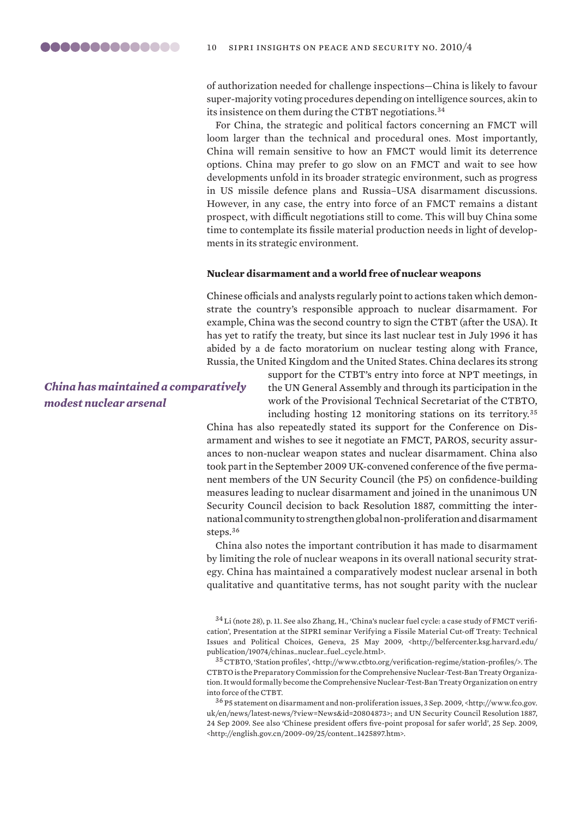<span id="page-9-0"></span>of authorization needed for challenge inspections—China is likely to favour super-majority voting procedures depending on intelligence sources, akin to its insistence on them during the CTBT negotiations.<sup>34</sup>

For China, the strategic and political factors concerning an FMCT will loom larger than the technical and procedural ones. Most importantly, China will remain sensitive to how an FMCT would limit its deterrence options. China may prefer to go slow on an FMCT and wait to see how developments unfold in its broader strategic environment, such as progress in US missile defence plans and Russia–USA disarmament discussions. However, in any case, the entry into force of an FMCT remains a distant prospect, with difficult negotiations still to come. This will buy China some time to contemplate its fissile material production needs in light of developments in its strategic environment.

#### **Nuclear disarmament and a world free of nuclear weapons**

Chinese officials and analysts regularly point to actions taken which demonstrate the country's responsible approach to nuclear disarmament. For example, China was the second country to sign the CTBT (after the USA). It has yet to ratify the treaty, but since its last nuclear test in July 1996 it has abided by a de facto moratorium on nuclear testing along with France, Russia, the United Kingdom and the United States. China declares its strong

## *China has maintained a comparatively modest nuclear arsenal*

support for the CTBT's entry into force at NPT meetings, in the UN General Assembly and through its participation in the work of the Provisional Technical Secretariat of the CTBTO, including hosting 12 monitoring stations on its territory.<sup>35</sup>

China has also repeatedly stated its support for the Conference on Disarmament and wishes to see it negotiate an FMCT, PAROS, security assurances to non-nuclear weapon states and nuclear disarmament. China also took part in the September 2009 UK-convened conference of the five permanent members of the UN Security Council (the P5) on confidence-building measures leading to nuclear disarmament and joined in the unanimous UN Security Council decision to back Resolution 1887, committing the international community to strengthen global non-proliferation and disarmament steps.<sup>36</sup>

China also notes the important contribution it has made to disarmament by limiting the role of nuclear weapons in its overall national security strategy. China has maintained a comparatively modest nuclear arsenal in both qualitative and quantitative terms, has not sought parity with the nuclear

<sup>34</sup> Li (note 28), p. 11. See also Zhang, H., 'China's nuclear fuel cycle: a case study of FMCT verification', Presentation at the SIPRI seminar Verifying a Fissile Material Cut-off Treaty: Technical Issues and Political Choices, Geneva, 25 May 2009, <http://belfercenter.ksg.harvard.edu/ publication/19074/chinas\_nuclear\_fuel\_cycle.html>.

<sup>35</sup>CTBTO, 'Station profiles', <http://www.ctbto.org/verification-regime/station-profiles/>. The CTBTO is the Preparatory Commission for the Comprehensive Nuclear-Test-Ban Treaty Organization. It would formally become the Comprehensive Nuclear-Test-Ban Treaty Organization on entry into force of the CTBT.

<sup>36</sup> P5 statement on disarmament and non-proliferation issues, 3 Sep. 2009, <http://www.fco.gov. uk/en/news/latest-news/?view=News&id=20804873>; and UN Security Council Resolution 1887, 24 Sep 2009. See also 'Chinese president offers five-point proposal for safer world', 25 Sep. 2009, <http://english.gov.cn/2009-09/25/content\_1425897.htm>.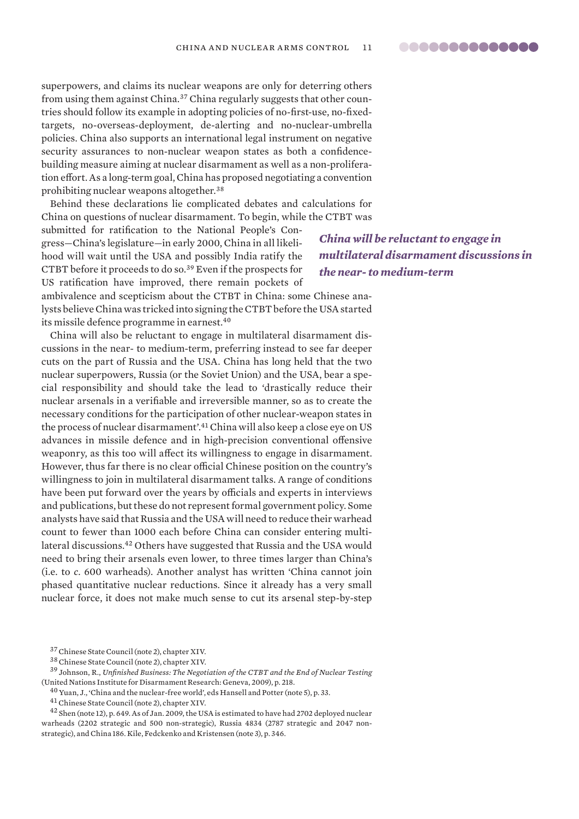superpowers, and claims its nuclear weapons are only for deterring others from using them against China.<sup>37</sup> China regularly suggests that other countries should follow its example in adopting policies of no-first-use, no-fixedtargets, no-overseas-deployment, de-alerting and no-nuclear-umbrella policies. China also supports an international legal instrument on negative security assurances to non-nuclear weapon states as both a confidencebuilding measure aiming at nuclear disarmament as well as a non-proliferation effort. As a long-term goal, China has proposed negotiating a convention prohibiting nuclear weapons altogether.<sup>38</sup>

Behind these declarations lie complicated debates and calculations for China on questions of nuclear disarmament. To begin, while the CTBT was

submitted for ratification to the National People's Congress—China's legislature—in early 2000, China in all likelihood will wait until the USA and possibly India ratify the CTBT before it proceeds to do so.<sup>39</sup> Even if the prospects for US ratification have improved, there remain pockets of

ambivalence and scepticism about the CTBT in China: some Chinese analysts believe China was tricked into signing the CTBT before the USA started its missile defence programme in earnest.<sup>40</sup>

China will also be reluctant to engage in multilateral disarmament discussions in the near- to medium-term, preferring instead to see far deeper cuts on the part of Russia and the USA. China has long held that the two nuclear superpowers, Russia (or the Soviet Union) and the USA, bear a special responsibility and should take the lead to 'drastically reduce their nuclear arsenals in a verifiable and irreversible manner, so as to create the necessary conditions for the participation of other nuclear-weapon states in the process of nuclear disarmament'.<sup>41</sup> China will also keep a close eye on US advances in missile defence and in high-precision conventional offensive weaponry, as this too will affect its willingness to engage in disarmament. However, thus far there is no clear official Chinese position on the country's willingness to join in multilateral disarmament talks. A range of conditions have been put forward over the years by officials and experts in interviews and publications, but these do not represent formal government policy. Some analysts have said that Russia and the USA will need to reduce their warhead count to fewer than 1000 each before China can consider entering multilateral discussions.<sup>42</sup> Others have suggested that Russia and the USA would need to bring their arsenals even lower, to three times larger than China's (i.e. to *c*. 600 warheads). Another analyst has written 'China cannot join phased quantitative nuclear reductions. Since it already has a very small nuclear force, it does not make much sense to cut its arsenal step-by-step

 $^{40}$  Yuan, J., 'China and the nuclear-free world', eds Hansell and Potter (note 5), p. 33.

*China will be reluctant to engage in multilateral disarmament discussions in the near- to medium-term*

<sup>37</sup>Chinese State Council (note 2), chapter XIV.

<sup>38</sup>Chinese State Council (note 2), chapter XIV.

<sup>39</sup> Johnson, R., *Unfinished Business: The Negotiation of the CTBT and the End of Nuclear Testing* (United Nations Institute for Disarmament Research: Geneva, 2009), p. 218.

<sup>41</sup>Chinese State Council (note 2), chapter XIV.

<sup>&</sup>lt;sup>42</sup> Shen (note 12), p. 649. As of Jan. 2009, the USA is estimated to have had 2702 deployed nuclear warheads (2202 strategic and 500 non-strategic), Russia 4834 (2787 strategic and 2047 nonstrategic), and China 186. Kile, Fedckenko and Kristensen (note 3), p. 346.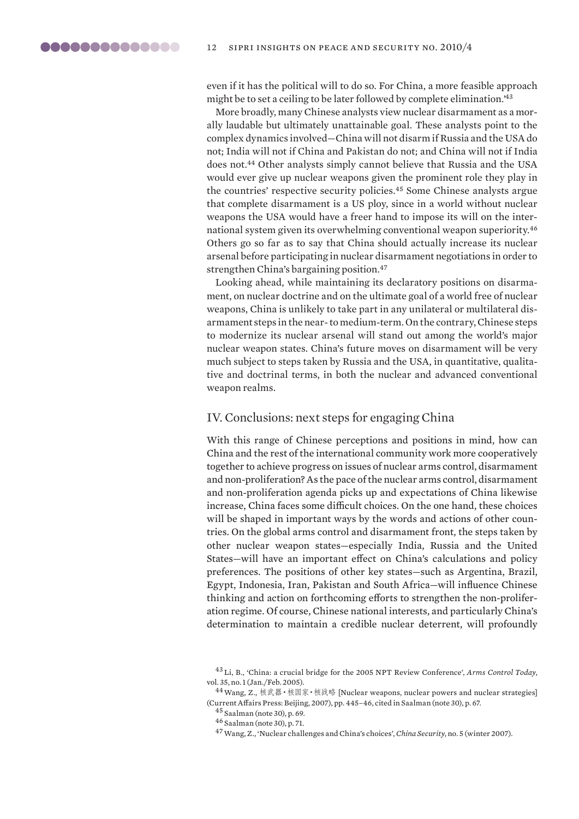<span id="page-11-0"></span>even if it has the political will to do so. For China, a more feasible approach might be to set a ceiling to be later followed by complete elimination.'<sup>43</sup>

More broadly, many Chinese analysts view nuclear disarmament as a morally laudable but ultimately unattainable goal. These analysts point to the complex dynamics involved—China will not disarm if Russia and the USA do not; India will not if China and Pakistan do not; and China will not if India does not.<sup>44</sup> Other analysts simply cannot believe that Russia and the USA would ever give up nuclear weapons given the prominent role they play in the countries' respective security policies.<sup>45</sup> Some Chinese analysts argue that complete disarmament is a US ploy, since in a world without nuclear weapons the USA would have a freer hand to impose its will on the international system given its overwhelming conventional weapon superiority.<sup>46</sup> Others go so far as to say that China should actually increase its nuclear arsenal before participating in nuclear disarmament negotiations in order to strengthen China's bargaining position.<sup>47</sup>

Looking ahead, while maintaining its declaratory positions on disarmament, on nuclear doctrine and on the ultimate goal of a world free of nuclear weapons, China is unlikely to take part in any unilateral or multilateral disarmament steps in the near- to medium-term. On the contrary, Chinese steps to modernize its nuclear arsenal will stand out among the world's major nuclear weapon states. China's future moves on disarmament will be very much subject to steps taken by Russia and the USA, in quantitative, qualitative and doctrinal terms, in both the nuclear and advanced conventional weapon realms.

### IV. Conclusions: next steps for engaging China

With this range of Chinese perceptions and positions in mind, how can China and the rest of the international community work more cooperatively together to achieve progress on issues of nuclear arms control, disarmament and non-proliferation? As the pace of the nuclear arms control, disarmament and non-proliferation agenda picks up and expectations of China likewise increase, China faces some difficult choices. On the one hand, these choices will be shaped in important ways by the words and actions of other countries. On the global arms control and disarmament front, the steps taken by other nuclear weapon states—especially India, Russia and the United States—will have an important effect on China's calculations and policy preferences. The positions of other key states—such as Argentina, Brazil, Egypt, Indonesia, Iran, Pakistan and South Africa—will influence Chinese thinking and action on forthcoming efforts to strengthen the non-proliferation regime. Of course, Chinese national interests, and particularly China's determination to maintain a credible nuclear deterrent, will profoundly

<sup>43</sup> Li, B., 'China: a crucial bridge for the 2005 NPT Review Conference', *Arms Control Today*, vol. 35, no. 1 (Jan./Feb. 2005).

<sup>44</sup>Wang, Z., 核武器·核国家·核战略 [Nuclear weapons, nuclear powers and nuclear strategies] (Current Affairs Press: Beijing, 2007), pp. 445–46, cited in Saalman (note 30), p. 67.

<sup>45</sup> Saalman (note 30), p. 69.

<sup>46</sup> Saalman (note 30), p. 71.

<sup>47</sup>Wang, Z., 'Nuclear challenges and China's choices', *China Security*, no. 5 (winter 2007).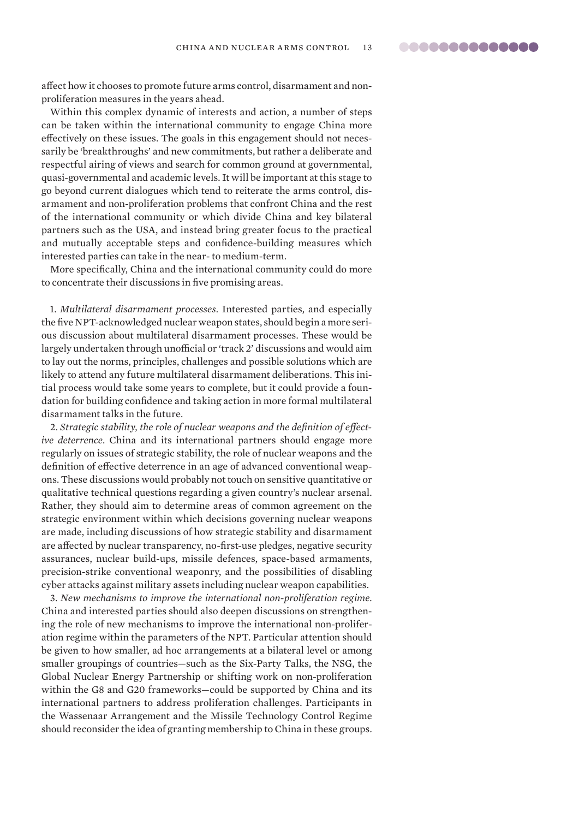affect how it chooses to promote future arms control, disarmament and nonproliferation measures in the years ahead.

Within this complex dynamic of interests and action, a number of steps can be taken within the international community to engage China more effectively on these issues. The goals in this engagement should not necessarily be 'breakthroughs' and new commitments, but rather a deliberate and respectful airing of views and search for common ground at governmental, quasi-governmental and academic levels. It will be important at this stage to go beyond current dialogues which tend to reiterate the arms control, disarmament and non-proliferation problems that confront China and the rest of the international community or which divide China and key bilateral partners such as the USA, and instead bring greater focus to the practical and mutually acceptable steps and confidence-building measures which interested parties can take in the near- to medium-term.

More specifically, China and the international community could do more to concentrate their discussions in five promising areas.

1. *Multilateral disarmament processes*. Interested parties, and especially the five NPT-acknowledged nuclear weapon states, should begin a more serious discussion about multilateral disarmament processes. These would be largely undertaken through unofficial or 'track 2' discussions and would aim to lay out the norms, principles, challenges and possible solutions which are likely to attend any future multilateral disarmament deliberations. This initial process would take some years to complete, but it could provide a foundation for building confidence and taking action in more formal multilateral disarmament talks in the future.

2. *Strategic stability, the role of nuclear weapons and the definition of effective deterrence*. China and its international partners should engage more regularly on issues of strategic stability, the role of nuclear weapons and the definition of effective deterrence in an age of advanced conventional weapons. These discussions would probably not touch on sensitive quantitative or qualitative technical questions regarding a given country's nuclear arsenal. Rather, they should aim to determine areas of common agreement on the strategic environment within which decisions governing nuclear weapons are made, including discussions of how strategic stability and disarmament are affected by nuclear transparency, no-first-use pledges, negative security assurances, nuclear build-ups, missile defences, space-based armaments, precision-strike conventional weaponry, and the possibilities of disabling cyber attacks against military assets including nuclear weapon capabilities.

3. *New mechanisms to improve the international non-proliferation regime*. China and interested parties should also deepen discussions on strengthening the role of new mechanisms to improve the international non-proliferation regime within the parameters of the NPT. Particular attention should be given to how smaller, ad hoc arrangements at a bilateral level or among smaller groupings of countries—such as the Six-Party Talks, the NSG, the Global Nuclear Energy Partnership or shifting work on non-proliferation within the G8 and G20 frameworks—could be supported by China and its international partners to address proliferation challenges. Participants in the Wassenaar Arrangement and the Missile Technology Control Regime should reconsider the idea of granting membership to China in these groups.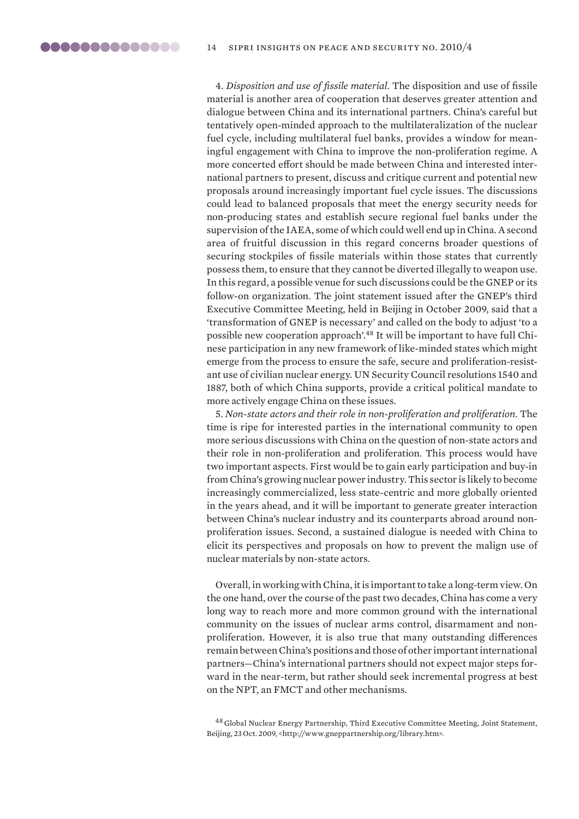4. *Disposition and use of fissile material.* The disposition and use of fissile material is another area of cooperation that deserves greater attention and dialogue between China and its international partners. China's careful but tentatively open-minded approach to the multilateralization of the nuclear fuel cycle, including multilateral fuel banks, provides a window for meaningful engagement with China to improve the non-proliferation regime. A more concerted effort should be made between China and interested international partners to present, discuss and critique current and potential new proposals around increasingly important fuel cycle issues. The discussions could lead to balanced proposals that meet the energy security needs for non-producing states and establish secure regional fuel banks under the supervision of the IAEA, some of which could well end up in China. A second area of fruitful discussion in this regard concerns broader questions of securing stockpiles of fissile materials within those states that currently possess them, to ensure that they cannot be diverted illegally to weapon use. In this regard, a possible venue for such discussions could be the GNEP or its follow-on organization. The joint statement issued after the GNEP's third Executive Committee Meeting, held in Beijing in October 2009, said that a 'transformation of GNEP is necessary' and called on the body to adjust 'to a possible new cooperation approach'.48 It will be important to have full Chinese participation in any new framework of like-minded states which might emerge from the process to ensure the safe, secure and proliferation-resistant use of civilian nuclear energy. UN Security Council resolutions 1540 and 1887, both of which China supports, provide a critical political mandate to more actively engage China on these issues.

5. *Non-state actors and their role in non-proliferation and proliferation*. The time is ripe for interested parties in the international community to open more serious discussions with China on the question of non-state actors and their role in non-proliferation and proliferation. This process would have two important aspects. First would be to gain early participation and buy-in from China's growing nuclear power industry. This sector is likely to become increasingly commercialized, less state-centric and more globally oriented in the years ahead, and it will be important to generate greater interaction between China's nuclear industry and its counterparts abroad around nonproliferation issues. Second, a sustained dialogue is needed with China to elicit its perspectives and proposals on how to prevent the malign use of nuclear materials by non-state actors.

Overall, in working with China, it is important to take a long-term view. On the one hand, over the course of the past two decades, China has come a very long way to reach more and more common ground with the international community on the issues of nuclear arms control, disarmament and nonproliferation. However, it is also true that many outstanding differences remain between China's positions and those of other important international partners—China's international partners should not expect major steps forward in the near-term, but rather should seek incremental progress at best on the NPT, an FMCT and other mechanisms.

<sup>48</sup> Global Nuclear Energy Partnership, Third Executive Committee Meeting, Joint Statement, Beijing, 23 Oct. 2009, <http://www.gneppartnership.org/library.htm>.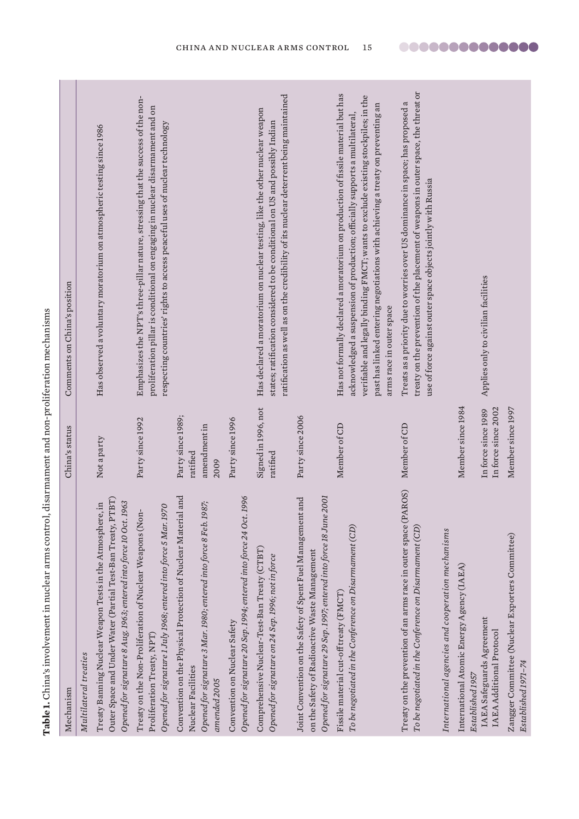<span id="page-14-0"></span>

| Mechanism                                                                                                                                                                                                              | China's status                                        | Comments on China's position                                                                                                                                                                                                                                                                                                                                        |
|------------------------------------------------------------------------------------------------------------------------------------------------------------------------------------------------------------------------|-------------------------------------------------------|---------------------------------------------------------------------------------------------------------------------------------------------------------------------------------------------------------------------------------------------------------------------------------------------------------------------------------------------------------------------|
| Outer Space and Under Water (Partial Test-Ban Treaty, PTBT)<br>Opened for signature 8 Aug. 1963; entered into force 10 Oct. 1963<br>Treaty Banning Nuclear Weapon Tests in the Atmosphere, in<br>Multilateral treaties | Not a party                                           | Has observed a voluntary moratorium on atmospheric testing since 1986                                                                                                                                                                                                                                                                                               |
| Opened for signature 1 July 1968; entered into force 5 Mar. 1970<br>Treaty on the Non-Proliferation of Nuclear Weapons (Non-<br>Proliferation Treaty, NPT)                                                             | Party since 1992                                      | Emphasizes the NPT's three-pillar nature, stressing that the success of the non-<br>proliferation pillar is conditional on engaging in nuclear disarmament and on<br>respecting countries' rights to access peaceful uses of nuclear technology                                                                                                                     |
| Convention on the Physical Protection of Nuclear Material and<br>Opened for signature 3 Mar. 1980; entered into force 8 Feb. 1987;<br>Nuclear Facilities<br>amended 2005                                               | Party since 1989;<br>amendment in<br>ratified<br>2009 |                                                                                                                                                                                                                                                                                                                                                                     |
| Opened for signature 20 Sep. 1994; entered into force 24 Oct. 1996<br>Convention on Nuclear Safety                                                                                                                     | Party since 1996                                      |                                                                                                                                                                                                                                                                                                                                                                     |
| Comprehensive Nuclear-Test-Ban Treaty (CTBT)<br>Opened for signature on 24 Sep. 1996; not in force                                                                                                                     | Signed in 1996, not<br>ratified                       | ratification as well as on the credibility of its nuclear deterrent being maintained<br>Has declared a moratorium on nuclear testing, like the other nuclear weapon<br>states; ratification considered to be conditional on US and possibly Indian                                                                                                                  |
| Opened for signature 29 Sep. 1997; entered into force 18 June 2001<br>Joint Convention on the Safety of Spent Fuel Management and<br>on the Safety of Radioactive Waste Management                                     | Party since 2006                                      |                                                                                                                                                                                                                                                                                                                                                                     |
| To be negotiated in the Conference on Disarmament (CD)<br>Fissile material cut-off treaty (FMCT)                                                                                                                       | Member of CD                                          | Has not formally declared a moratorium on production of fissile material but has<br>verifiable and legally binding FMCT; wants to exclude existing stockpiles; in the<br>past has linked entering negotiations with achieving a treaty on preventing an<br>acknowledged a suspension of production; officially supports a multilateral,<br>arms race in outer space |
| Treaty on the prevention of an arms race in outer space (PAROS)<br>To be negotiated in the Conference on Disarmament $(CD)$                                                                                            | Member of CD                                          | treaty on the prevention of the placement of weapons in outer space, the threat or<br>Treats as a priority due to worries over US dominance in space; has proposed a<br>use of force against outer space objects jointly with Russia                                                                                                                                |
| International agencies and cooperation mechanisms                                                                                                                                                                      |                                                       |                                                                                                                                                                                                                                                                                                                                                                     |
| International Atomic Energy Agency (IAEA)<br>Established 1957                                                                                                                                                          | Member since 1984                                     |                                                                                                                                                                                                                                                                                                                                                                     |
| <b>IAEA</b> Safeguards Agreement<br><b>IAEA</b> Additional Protocol                                                                                                                                                    | In force since 2002<br>In force since 1989            | Applies only to civilian facilities                                                                                                                                                                                                                                                                                                                                 |
| Zangger Committee (Nuclear Exporters Committee)<br>Established 1971-74                                                                                                                                                 | Member since 1997                                     |                                                                                                                                                                                                                                                                                                                                                                     |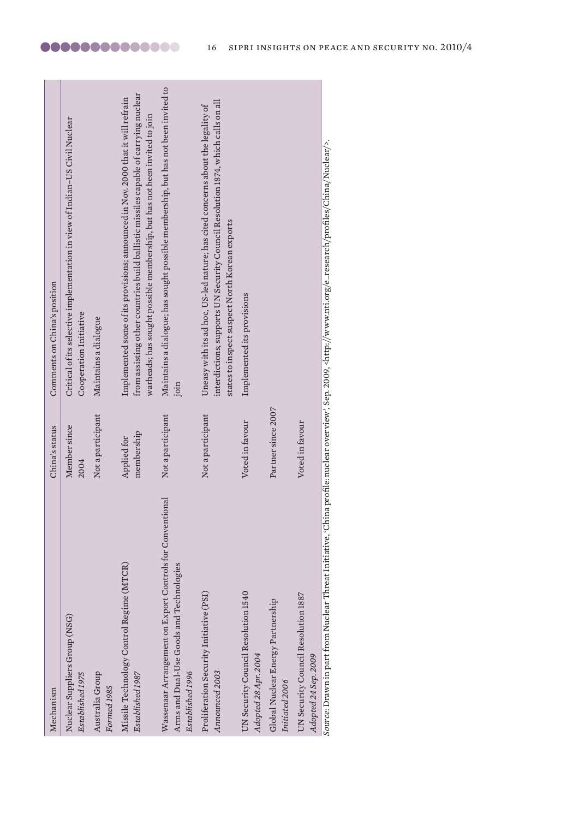| Mechanism                                                                                                                 | China's status            | Comments on China's position                                                                                                                                                                                                                         |
|---------------------------------------------------------------------------------------------------------------------------|---------------------------|------------------------------------------------------------------------------------------------------------------------------------------------------------------------------------------------------------------------------------------------------|
| Nuclear Suppliers Group (NSG)<br>Established 1975                                                                         | Member since<br>2004      | Critical of its selective implementation in view of Indian-US Civil Nuclear<br>Cooperation Initiative                                                                                                                                                |
| Australia Group<br>Formed 1985                                                                                            | Not a participant         | Maintains a dialogue                                                                                                                                                                                                                                 |
| Missile Technology Control Regime (MTCR)<br>Established 1987                                                              | membership<br>Applied for | from assisting other countries build ballistic missiles capable of carrying nuclear<br>Implemented some of its provisions; announced in Nov. 2000 that it will refrain<br>warheads; has sought possible membership, but has not been invited to join |
| Wassenaar Arrangement on Export Controls for Conventional<br>Arms and Dual-Use Goods and Technologies<br>Established 1996 | Not a participant         | Maintains a dialogue; has sought possible membership, but has not been invited to<br>join                                                                                                                                                            |
| Proliferation Security Initiative (PSI)<br>Announced 2003                                                                 | Not a participant         | interdictions; supports UN Security Council Resolution 1874, which calls on all<br>Uneasy with its ad hoc, US-led nature; has cited concerns about the legality of<br>states to inspect suspect North Korean exports                                 |
| UN Security Council Resolution 1540<br>Adopted 28 Apr. 2004                                                               | Voted in favour           | Implemented its provisions                                                                                                                                                                                                                           |
| Global Nuclear Energy Partnership<br>Initiated 2006                                                                       | Partner since 2007        |                                                                                                                                                                                                                                                      |
| UN Security Council Resolution 1887<br>Adopted 24 Sep. 2009                                                               | Voted in favour           |                                                                                                                                                                                                                                                      |
|                                                                                                                           |                           | Source: Drawn in part from Nuclear Threat Initiative, 'China profile: nuclear overview', Sep. 2009, <http: china="" e_research="" nuclear="" profiles="" www.nti.org=""></http:> .                                                                   |

les/China/Nuclear/>. *Source*: Drawn in part from Nuclear Threat Initiative, 'China profile: nuclear overview', Sep. 2009, <http://www.nti.org/e\_research/profiles/China/Nuclear/>.Ξ cn/pi  $\Xi$  $WW.111.018$ .nttp://w .<br>פטר ,  $\mathsf{sep.21}$ Ξ, ร ≣ China profile: ຍົ Ξ ⋾ E rawn in par ミ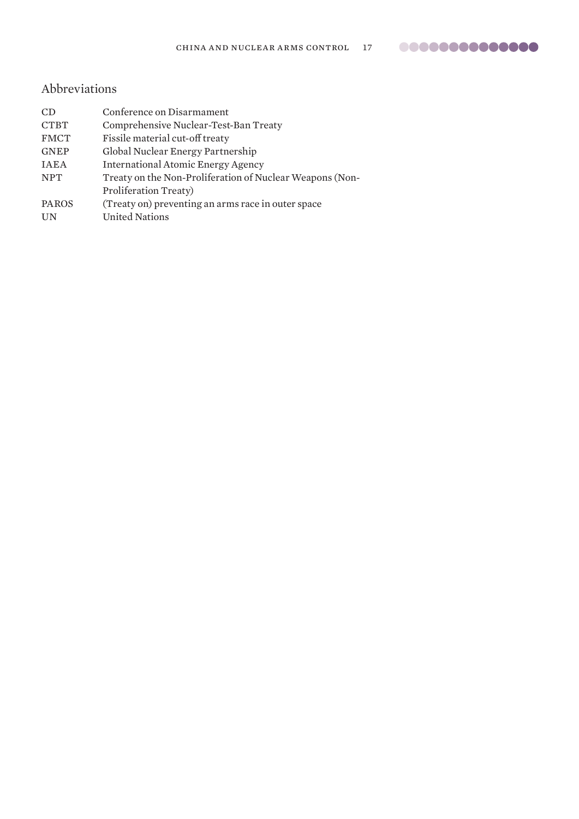# <span id="page-16-0"></span>Abbreviations

| CD           | Conference on Disarmament                                |
|--------------|----------------------------------------------------------|
| <b>CTBT</b>  | Comprehensive Nuclear-Test-Ban Treaty                    |
| <b>FMCT</b>  | Fissile material cut-off treaty                          |
| <b>GNEP</b>  | Global Nuclear Energy Partnership                        |
| <b>IAEA</b>  | <b>International Atomic Energy Agency</b>                |
| <b>NPT</b>   | Treaty on the Non-Proliferation of Nuclear Weapons (Non- |
|              | Proliferation Treaty)                                    |
| <b>PAROS</b> | (Treaty on) preventing an arms race in outer space       |
| UN           | <b>United Nations</b>                                    |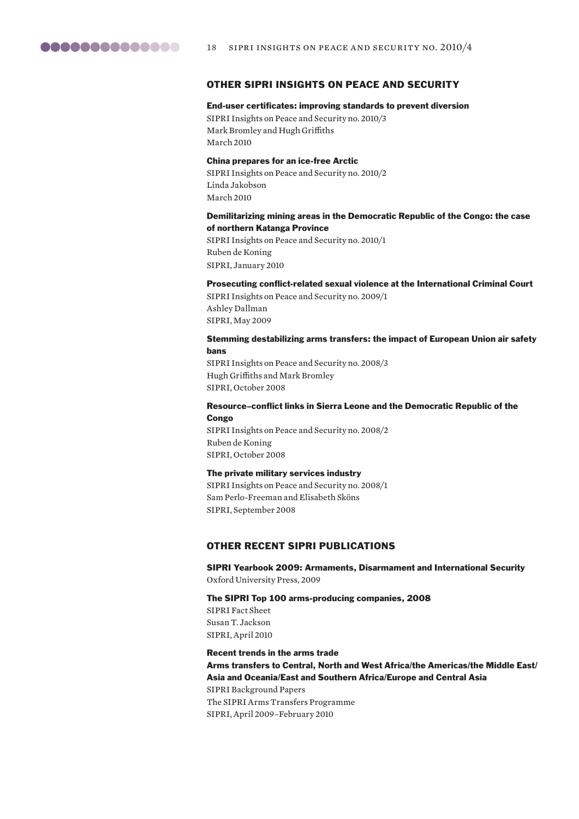

#### OTHER SIPRI INSIGHTS ON PEACE AND SECURITY

#### End-user certificates: improving standards to prevent diversion

SIPRI Insights on Peace and Security no. 2010/3 Mark Bromley and Hugh Griffiths March 2010

#### China prepares for an ice-free Arctic

SIPRI Insights on Peace and Security no. 2010/2 Linda Jakobson March 2010

### Demilitarizing mining areas in the Democratic Republic of the Congo: the case of northern Katanga Province

SIPRI Insights on Peace and Security no. 2010/1 Ruben de Koning SIPRI, January 2010

#### Prosecuting conflict-related sexual violence at the International Criminal Court

SIPRI Insights on Peace and Security no. 2009/1 Ashley Dallman SIPRI, May 2009

#### Stemming destabilizing arms transfers: the impact of European Union air safety bans

SIPRI Insights on Peace and Security no. 2008/3 Hugh Griffiths and Mark Bromley SIPRI, October 2008

#### Resource–conflict links in Sierra Leone and the Democratic Republic of the **Congo**

SIPRI Insights on Peace and Security no. 2008/2 Ruben de Koning SIPRI, October 2008

#### The private military services industry

SIPRI Insights on Peace and Security no. 2008/1 Sam Perlo-Freeman and Elisabeth Sköns SIPRI, September 2008

#### OTHER RECENT SIPRI PUBLICATIONS

SIPRI Yearbook 2009: Armaments, Disarmament and International Security Oxford University Press, 2009

#### The SIPRI Top 100 arms-producing companies, 2008

SIPRI Fact Sheet Susan T. Jackson SIPRI, April 2010

Recent trends in the arms trade Arms transfers to Central, North and West Africa/the Americas/the Middle East/ Asia and Oceania/East and Southern Africa/Europe and Central Asia SIPRI Background Papers The SIPRI Arms Transfers Programme SIPRI, April 2009–February 2010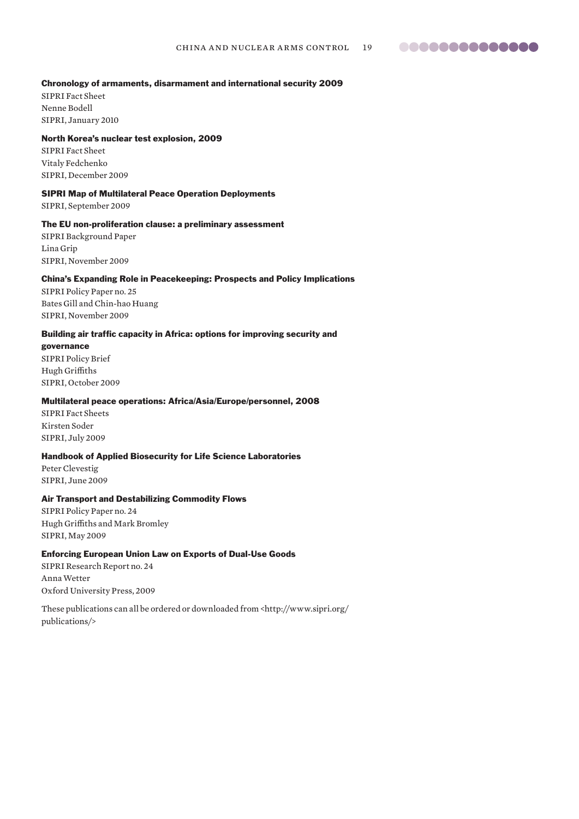#### Chronology of armaments, disarmament and international security 2009

SIPRI Fact Sheet Nenne Bodell SIPRI, January 2010

#### North Korea's nuclear test explosion, 2009

SIPRI Fact Sheet Vitaly Fedchenko SIPRI, December 2009

#### SIPRI Map of Multilateral Peace Operation Deployments

SIPRI, September 2009

#### The EU non-proliferation clause: a preliminary assessment

SIPRI Background Paper Lina Grip SIPRI, November 2009

#### China's Expanding Role in Peacekeeping: Prospects and Policy Implications

SIPRI Policy Paper no. 25 Bates Gill and Chin-hao Huang SIPRI, November 2009

#### Building air traffic capacity in Africa: options for improving security and

governance

SIPRI Policy Brief Hugh Griffiths SIPRI, October 2009

#### Multilateral peace operations: Africa/Asia/Europe/personnel, 2008

SIPRI Fact Sheets Kirsten Soder SIPRI, July 2009

### Handbook of Applied Biosecurity for Life Science Laboratories

Peter Clevestig SIPRI, June 2009

#### Air Transport and Destabilizing Commodity Flows

SIPRI Policy Paper no. 24 Hugh Griffiths and Mark Bromley SIPRI, May 2009

#### Enforcing European Union Law on Exports of Dual-Use Goods

SIPRI Research Report no. 24 Anna Wetter Oxford University Press, 2009

These publications can all be ordered or downloaded from <http://www.sipri.org/ publications/>